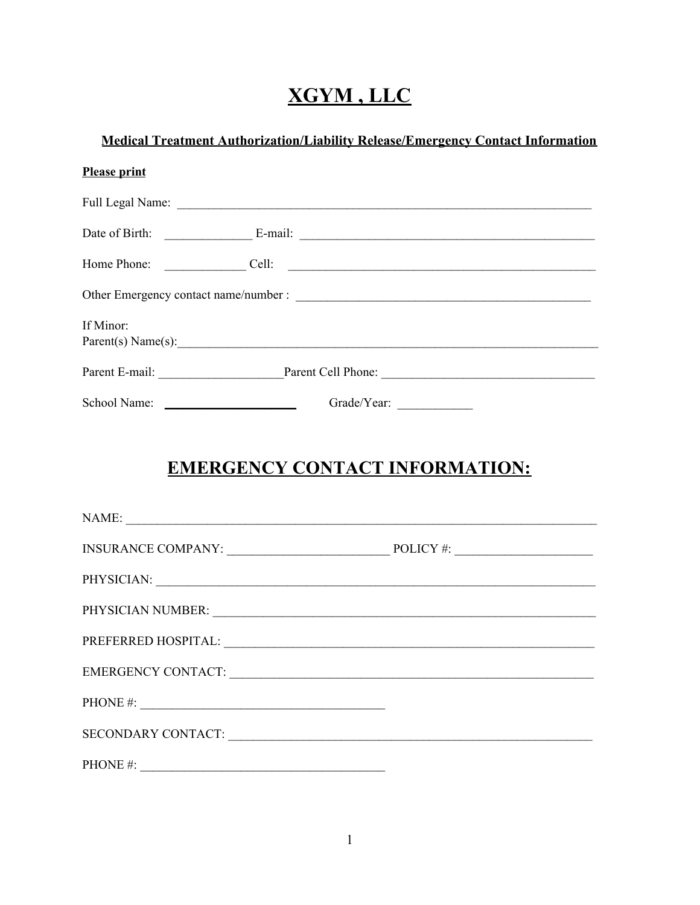## XGYM, LLC

## **Medical Treatment Authorization/Liability Release/Emergency Contact Information**

| <b>Please print</b> |                                                                                       |  |  |  |
|---------------------|---------------------------------------------------------------------------------------|--|--|--|
|                     |                                                                                       |  |  |  |
|                     |                                                                                       |  |  |  |
|                     | Home Phone:<br>Cell:<br><u> 1989 - Andrea Stadt British, fransk politik (d. 1989)</u> |  |  |  |
|                     |                                                                                       |  |  |  |
| If Minor:           |                                                                                       |  |  |  |
|                     | Parent(s) Name(s):                                                                    |  |  |  |
|                     | Parent E-mail: Parent Cell Phone: Parent Cell Phone:                                  |  |  |  |
|                     | School Name:                                                                          |  |  |  |

## **EMERGENCY CONTACT INFORMATION:**

| NAME:                                                                                                                                                                                                                         |  |
|-------------------------------------------------------------------------------------------------------------------------------------------------------------------------------------------------------------------------------|--|
|                                                                                                                                                                                                                               |  |
|                                                                                                                                                                                                                               |  |
|                                                                                                                                                                                                                               |  |
|                                                                                                                                                                                                                               |  |
| EMERGENCY CONTACT: University of the contract of the contract of the contract of the contract of the contract of the contract of the contract of the contract of the contract of the contract of the contract of the contract |  |
| PHONE #: $\qquad \qquad$                                                                                                                                                                                                      |  |
| SECONDARY CONTACT:                                                                                                                                                                                                            |  |
| PHONE #: $\qquad \qquad$                                                                                                                                                                                                      |  |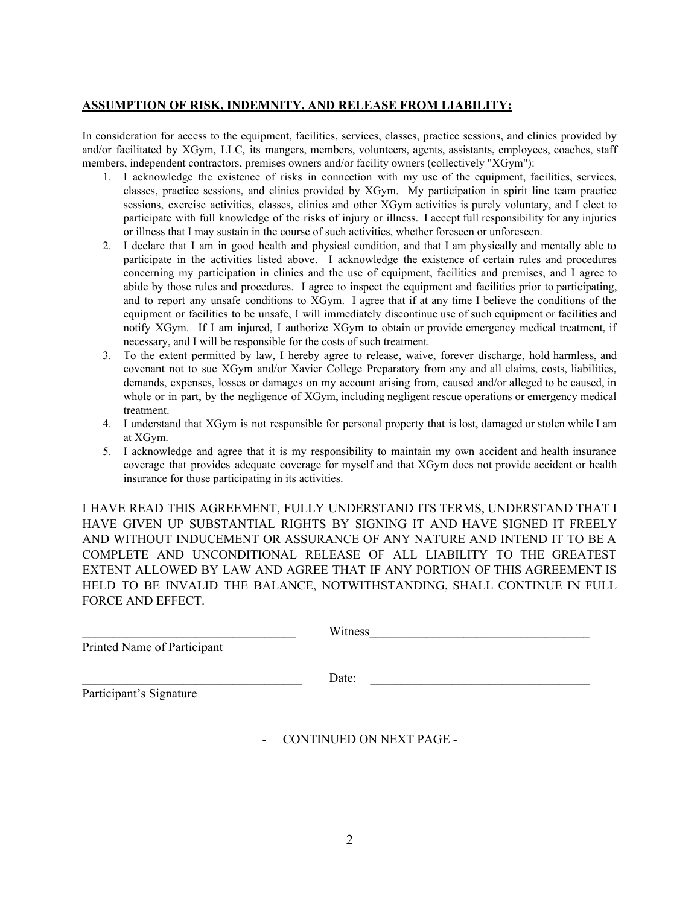## **ASSUMPTION OF RISK, INDEMNITY, AND RELEASE FROM LIABILITY:**

In consideration for access to the equipment, facilities, services, classes, practice sessions, and clinics provided by and/or facilitated by XGym, LLC, its mangers, members, volunteers, agents, assistants, employees, coaches, staff members, independent contractors, premises owners and/or facility owners (collectively "XGym"):

- 1. I acknowledge the existence of risks in connection with my use of the equipment, facilities, services, classes, practice sessions, and clinics provided by XGym. My participation in spirit line team practice sessions, exercise activities, classes, clinics and other XGym activities is purely voluntary, and I elect to participate with full knowledge of the risks of injury or illness. I accept full responsibility for any injuries or illness that I may sustain in the course of such activities, whether foreseen or unforeseen.
- 2. I declare that I am in good health and physical condition, and that I am physically and mentally able to participate in the activities listed above. I acknowledge the existence of certain rules and procedures concerning my participation in clinics and the use of equipment, facilities and premises, and I agree to abide by those rules and procedures. I agree to inspect the equipment and facilities prior to participating, and to report any unsafe conditions to XGym. I agree that if at any time I believe the conditions of the equipment or facilities to be unsafe, I will immediately discontinue use of such equipment or facilities and notify XGym. If I am injured, I authorize XGym to obtain or provide emergency medical treatment, if necessary, and I will be responsible for the costs of such treatment.
- 3. To the extent permitted by law, I hereby agree to release, waive, forever discharge, hold harmless, and covenant not to sue XGym and/or Xavier College Preparatory from any and all claims, costs, liabilities, demands, expenses, losses or damages on my account arising from, caused and/or alleged to be caused, in whole or in part, by the negligence of XGym, including negligent rescue operations or emergency medical treatment.
- 4. I understand that XGym is not responsible for personal property that is lost, damaged or stolen while I am at XGym.
- 5. I acknowledge and agree that it is my responsibility to maintain my own accident and health insurance coverage that provides adequate coverage for myself and that XGym does not provide accident or health insurance for those participating in its activities.

I HAVE READ THIS AGREEMENT, FULLY UNDERSTAND ITS TERMS, UNDERSTAND THAT I HAVE GIVEN UP SUBSTANTIAL RIGHTS BY SIGNING IT AND HAVE SIGNED IT FREELY AND WITHOUT INDUCEMENT OR ASSURANCE OF ANY NATURE AND INTEND IT TO BE A COMPLETE AND UNCONDITIONAL RELEASE OF ALL LIABILITY TO THE GREATEST EXTENT ALLOWED BY LAW AND AGREE THAT IF ANY PORTION OF THIS AGREEMENT IS HELD TO BE INVALID THE BALANCE, NOTWITHSTANDING, SHALL CONTINUE IN FULL FORCE AND EFFECT.

| Printed Name of Participant | Witness                                                     |  |
|-----------------------------|-------------------------------------------------------------|--|
| Participant's Signature     | Date:                                                       |  |
|                             | <b>CONTINUED ON NEXT PAGE -</b><br>$\overline{\phantom{0}}$ |  |